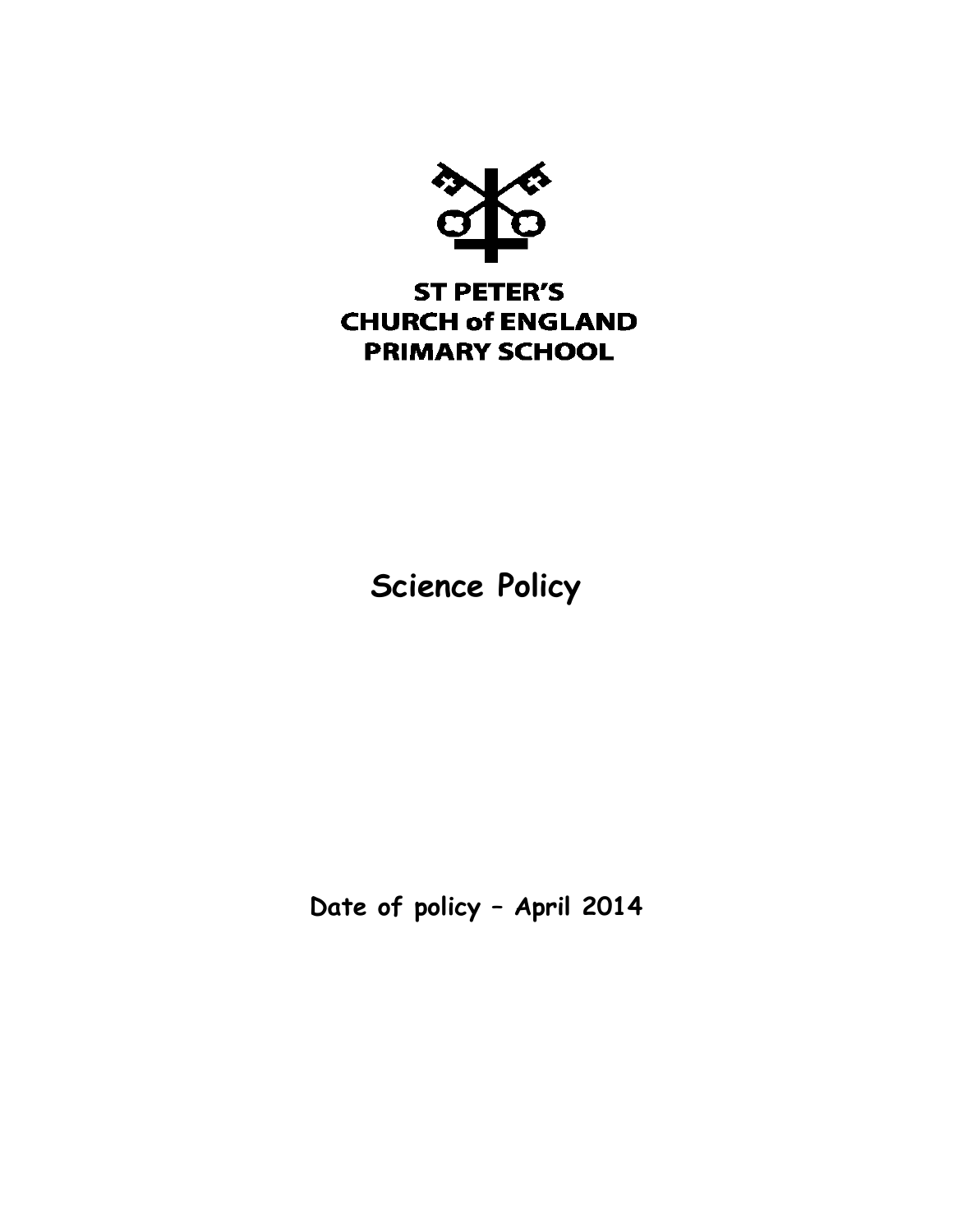

# **Science Policy**

**Date of policy – April 2014**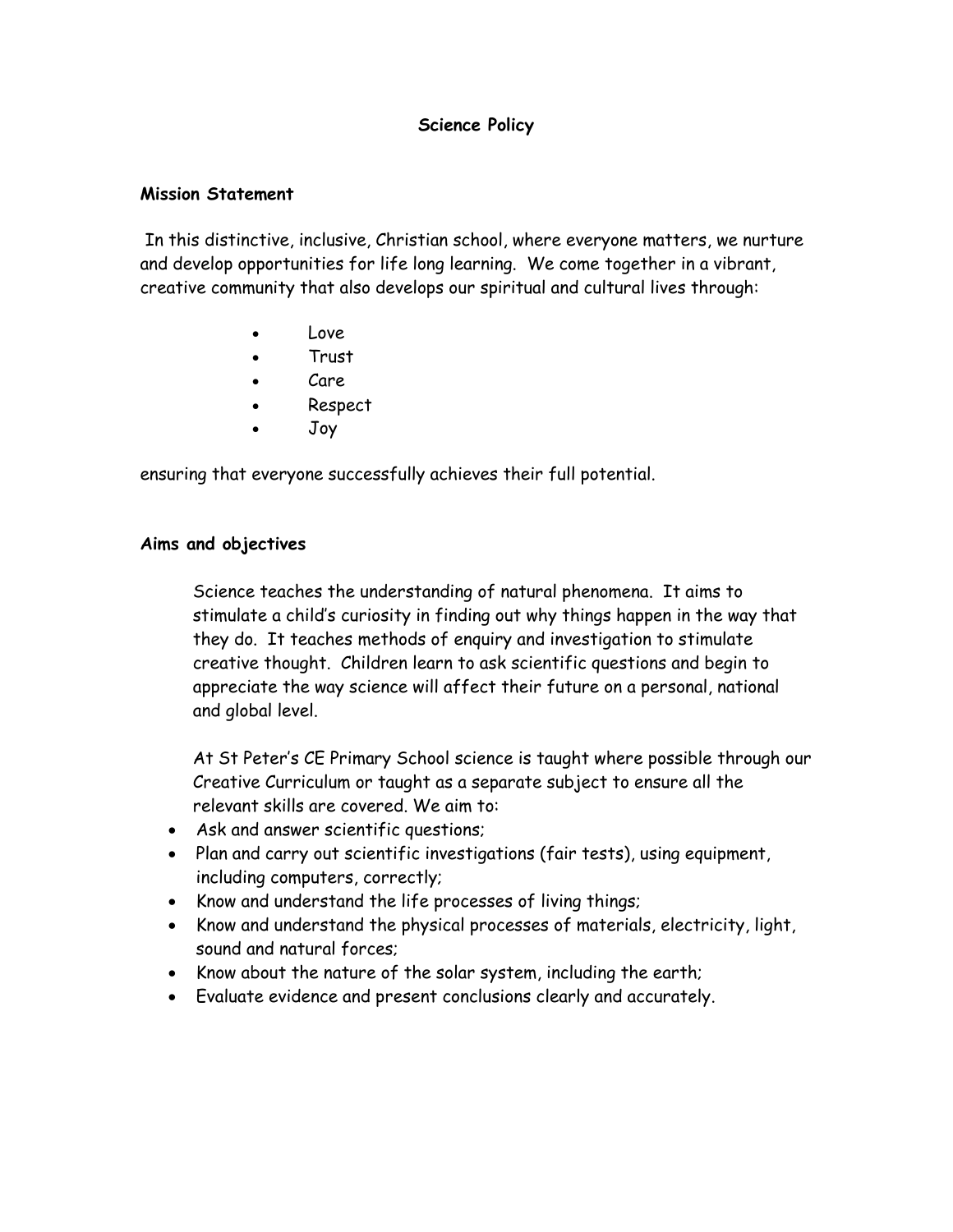# **Science Policy**

#### **Mission Statement**

In this distinctive, inclusive, Christian school, where everyone matters, we nurture and develop opportunities for life long learning. We come together in a vibrant, creative community that also develops our spiritual and cultural lives through:

- Love
- Trust
- Care
- Respect
- Joy

ensuring that everyone successfully achieves their full potential.

#### **Aims and objectives**

Science teaches the understanding of natural phenomena. It aims to stimulate a child's curiosity in finding out why things happen in the way that they do. It teaches methods of enquiry and investigation to stimulate creative thought. Children learn to ask scientific questions and begin to appreciate the way science will affect their future on a personal, national and global level.

At St Peter's CE Primary School science is taught where possible through our Creative Curriculum or taught as a separate subject to ensure all the relevant skills are covered. We aim to:

- Ask and answer scientific questions;
- Plan and carry out scientific investigations (fair tests), using equipment, including computers, correctly;
- Know and understand the life processes of living things;
- Know and understand the physical processes of materials, electricity, light, sound and natural forces;
- Know about the nature of the solar system, including the earth;
- Evaluate evidence and present conclusions clearly and accurately.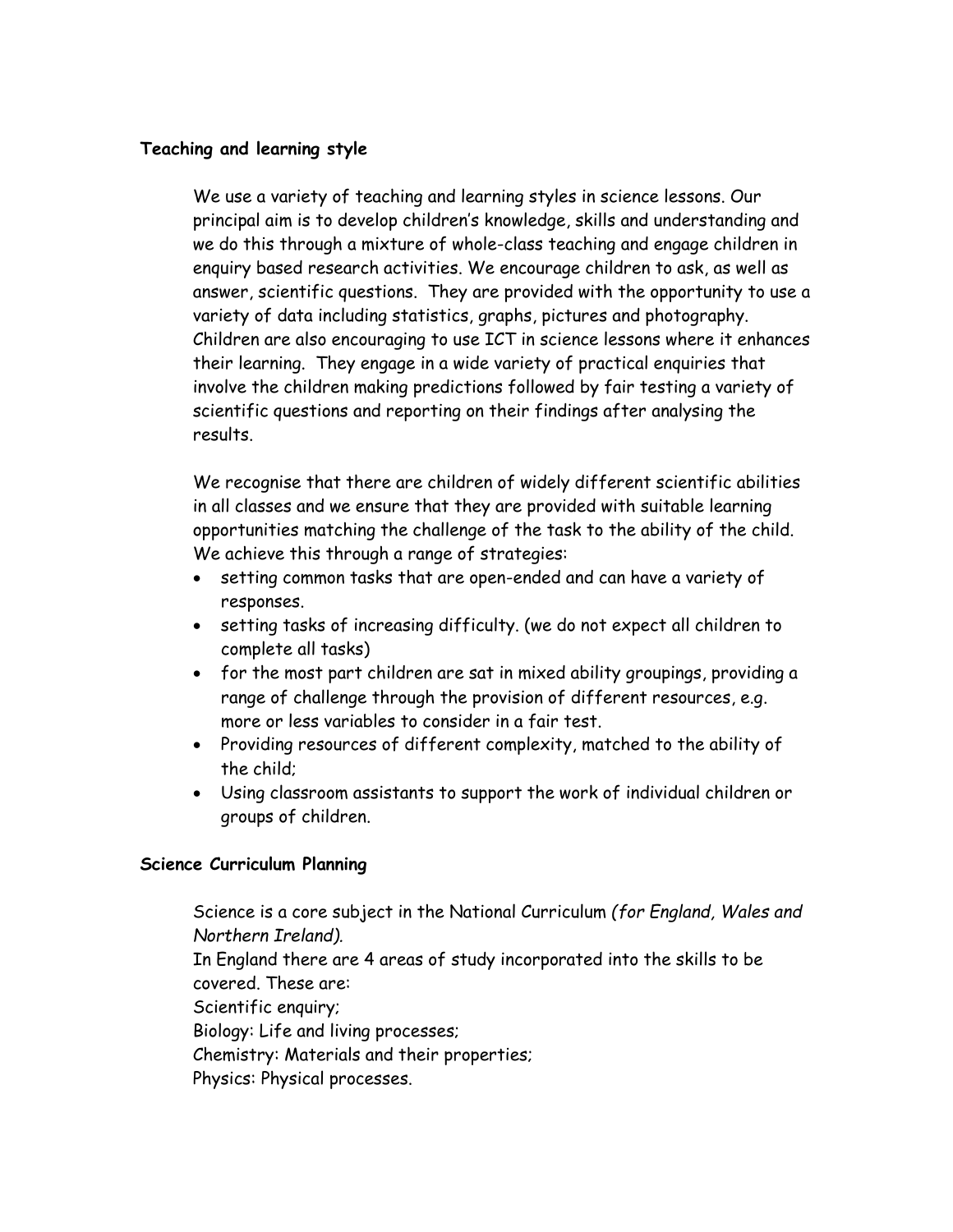# **Teaching and learning style**

We use a variety of teaching and learning styles in science lessons. Our principal aim is to develop children's knowledge, skills and understanding and we do this through a mixture of whole-class teaching and engage children in enquiry based research activities. We encourage children to ask, as well as answer, scientific questions. They are provided with the opportunity to use a variety of data including statistics, graphs, pictures and photography. Children are also encouraging to use ICT in science lessons where it enhances their learning. They engage in a wide variety of practical enquiries that involve the children making predictions followed by fair testing a variety of scientific questions and reporting on their findings after analysing the results.

We recognise that there are children of widely different scientific abilities in all classes and we ensure that they are provided with suitable learning opportunities matching the challenge of the task to the ability of the child. We achieve this through a range of strategies:

- setting common tasks that are open-ended and can have a variety of responses.
- setting tasks of increasing difficulty. (we do not expect all children to complete all tasks)
- for the most part children are sat in mixed ability groupings, providing a range of challenge through the provision of different resources, e.g. more or less variables to consider in a fair test.
- Providing resources of different complexity, matched to the ability of the child;
- Using classroom assistants to support the work of individual children or groups of children.

#### **Science Curriculum Planning**

Science is a core subject in the National Curriculum *(for England, Wales and Northern Ireland).* In England there are 4 areas of study incorporated into the skills to be covered. These are: Scientific enquiry; Biology: Life and living processes; Chemistry: Materials and their properties; Physics: Physical processes.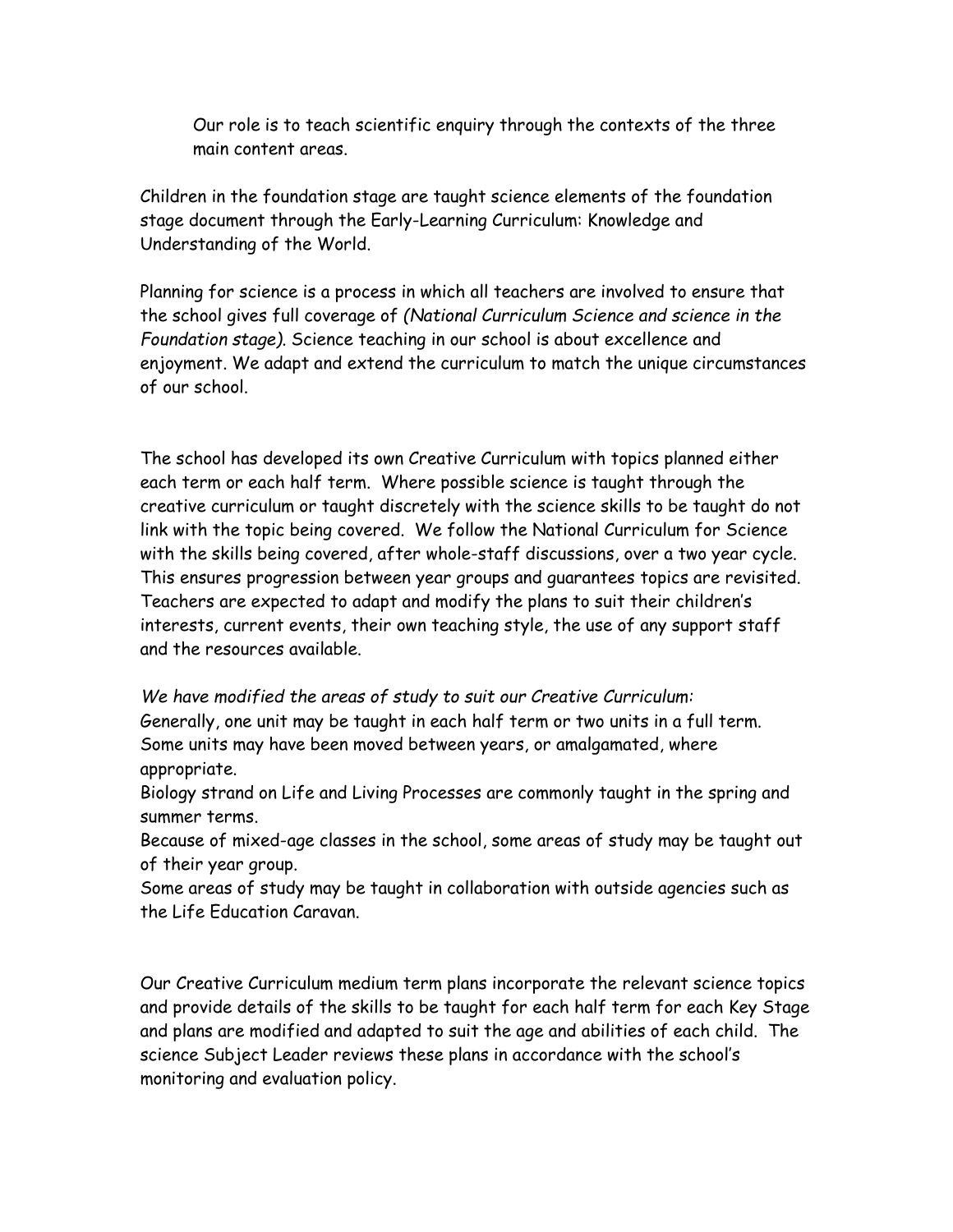Our role is to teach scientific enquiry through the contexts of the three main content areas.

Children in the foundation stage are taught science elements of the foundation stage document through the Early-Learning Curriculum: Knowledge and Understanding of the World.

Planning for science is a process in which all teachers are involved to ensure that the school gives full coverage of *(National Curriculum Science and science in the Foundation stage)*. Science teaching in our school is about excellence and enjoyment. We adapt and extend the curriculum to match the unique circumstances of our school.

The school has developed its own Creative Curriculum with topics planned either each term or each half term. Where possible science is taught through the creative curriculum or taught discretely with the science skills to be taught do not link with the topic being covered. We follow the National Curriculum for Science with the skills being covered, after whole-staff discussions, over a two year cycle. This ensures progression between year groups and guarantees topics are revisited. Teachers are expected to adapt and modify the plans to suit their children's interests, current events, their own teaching style, the use of any support staff and the resources available.

*We have modified the areas of study to suit our Creative Curriculum:* Generally, one unit may be taught in each half term or two units in a full term. Some units may have been moved between years, or amalgamated, where appropriate.

Biology strand on Life and Living Processes are commonly taught in the spring and summer terms.

Because of mixed-age classes in the school, some areas of study may be taught out of their year group.

Some areas of study may be taught in collaboration with outside agencies such as the Life Education Caravan.

Our Creative Curriculum medium term plans incorporate the relevant science topics and provide details of the skills to be taught for each half term for each Key Stage and plans are modified and adapted to suit the age and abilities of each child. The science Subject Leader reviews these plans in accordance with the school's monitoring and evaluation policy.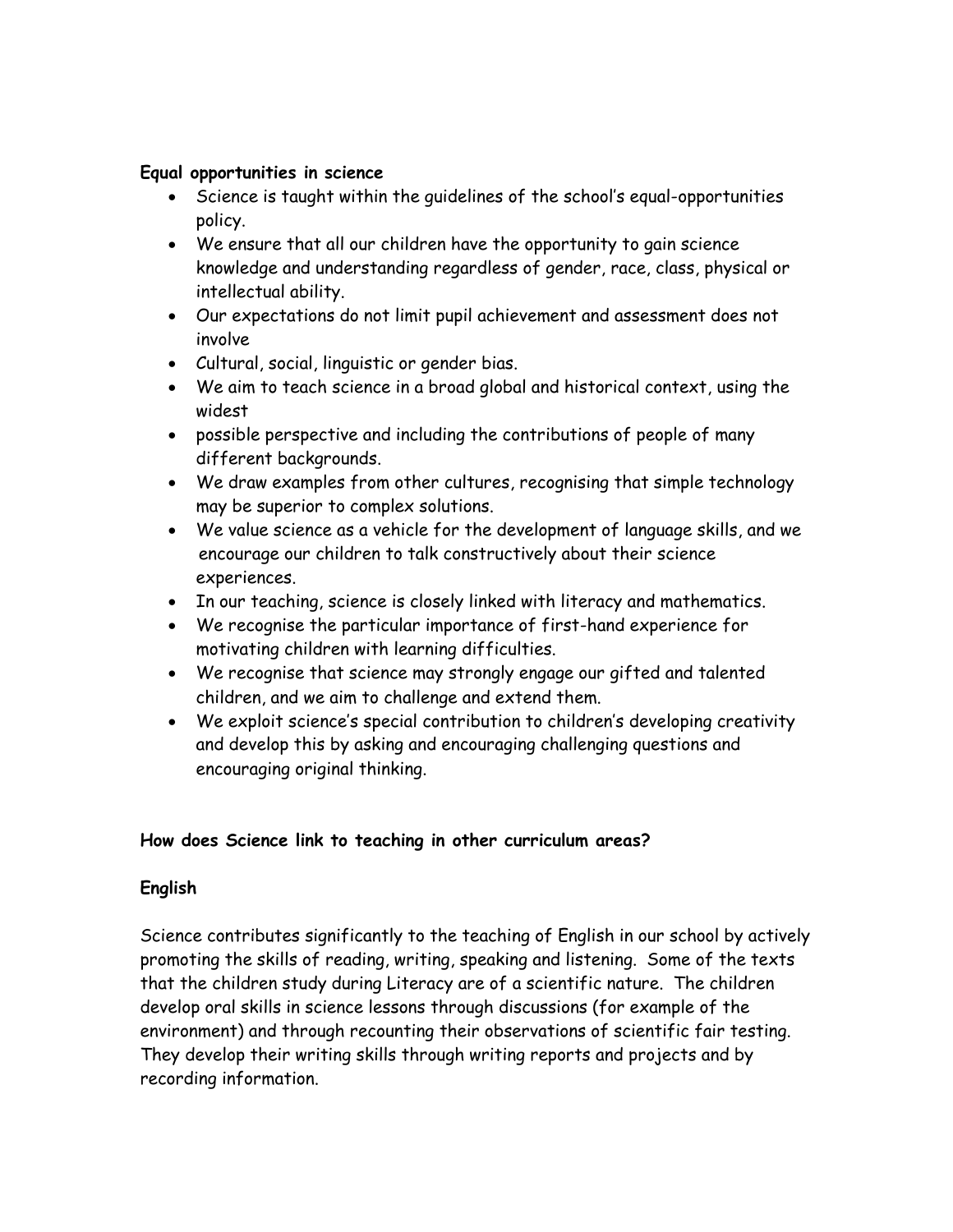### **Equal opportunities in science**

- Science is taught within the guidelines of the school's equal-opportunities policy.
- We ensure that all our children have the opportunity to gain science knowledge and understanding regardless of gender, race, class, physical or intellectual ability.
- Our expectations do not limit pupil achievement and assessment does not involve
- Cultural, social, linguistic or gender bias.
- We aim to teach science in a broad global and historical context, using the widest
- possible perspective and including the contributions of people of many different backgrounds.
- We draw examples from other cultures, recognising that simple technology may be superior to complex solutions.
- We value science as a vehicle for the development of language skills, and we encourage our children to talk constructively about their science experiences.
- In our teaching, science is closely linked with literacy and mathematics.
- We recognise the particular importance of first-hand experience for motivating children with learning difficulties.
- We recognise that science may strongly engage our gifted and talented children, and we aim to challenge and extend them.
- We exploit science's special contribution to children's developing creativity and develop this by asking and encouraging challenging questions and encouraging original thinking.

# **How does Science link to teaching in other curriculum areas?**

# **English**

Science contributes significantly to the teaching of English in our school by actively promoting the skills of reading, writing, speaking and listening. Some of the texts that the children study during Literacy are of a scientific nature. The children develop oral skills in science lessons through discussions (for example of the environment) and through recounting their observations of scientific fair testing. They develop their writing skills through writing reports and projects and by recording information.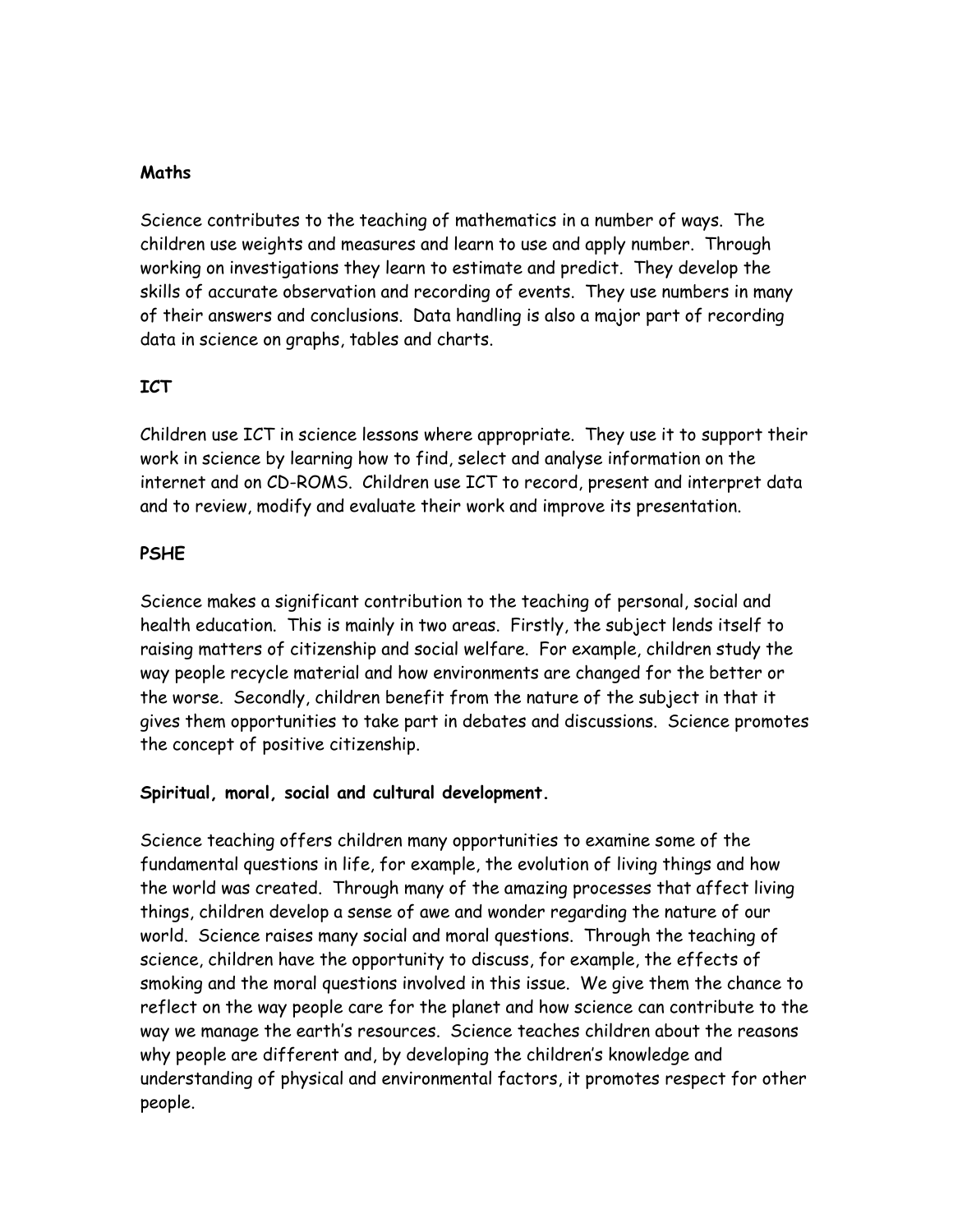### **Maths**

Science contributes to the teaching of mathematics in a number of ways. The children use weights and measures and learn to use and apply number. Through working on investigations they learn to estimate and predict. They develop the skills of accurate observation and recording of events. They use numbers in many of their answers and conclusions. Data handling is also a major part of recording data in science on graphs, tables and charts.

# **ICT**

Children use ICT in science lessons where appropriate. They use it to support their work in science by learning how to find, select and analyse information on the internet and on CD-ROMS. Children use ICT to record, present and interpret data and to review, modify and evaluate their work and improve its presentation.

# **PSHE**

Science makes a significant contribution to the teaching of personal, social and health education. This is mainly in two areas. Firstly, the subject lends itself to raising matters of citizenship and social welfare. For example, children study the way people recycle material and how environments are changed for the better or the worse. Secondly, children benefit from the nature of the subject in that it gives them opportunities to take part in debates and discussions. Science promotes the concept of positive citizenship.

# **Spiritual, moral, social and cultural development.**

Science teaching offers children many opportunities to examine some of the fundamental questions in life, for example, the evolution of living things and how the world was created. Through many of the amazing processes that affect living things, children develop a sense of awe and wonder regarding the nature of our world. Science raises many social and moral questions. Through the teaching of science, children have the opportunity to discuss, for example, the effects of smoking and the moral questions involved in this issue. We give them the chance to reflect on the way people care for the planet and how science can contribute to the way we manage the earth's resources. Science teaches children about the reasons why people are different and, by developing the children's knowledge and understanding of physical and environmental factors, it promotes respect for other people.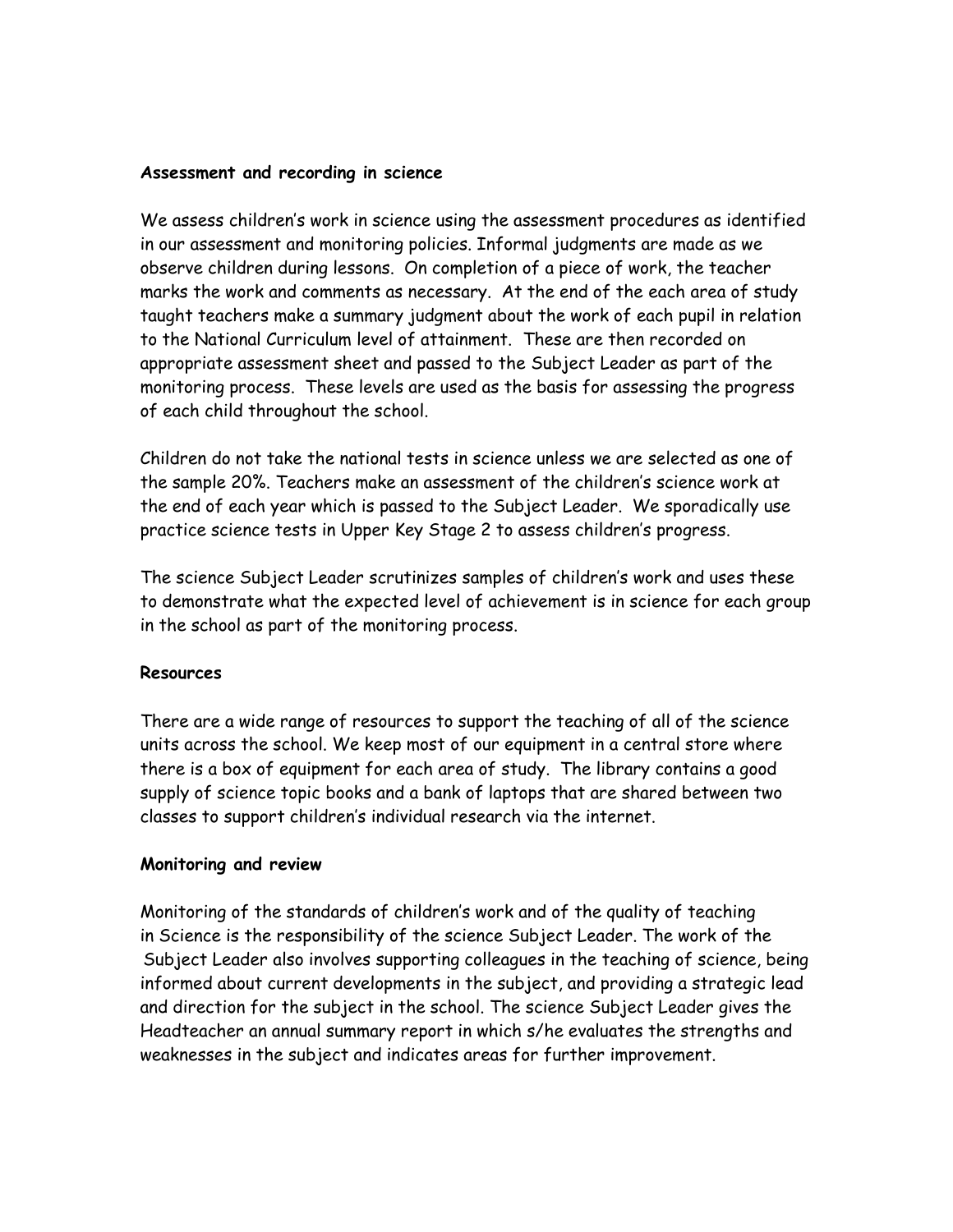#### **Assessment and recording in science**

We assess children's work in science using the assessment procedures as identified in our assessment and monitoring policies. Informal judgments are made as we observe children during lessons. On completion of a piece of work, the teacher marks the work and comments as necessary. At the end of the each area of study taught teachers make a summary judgment about the work of each pupil in relation to the National Curriculum level of attainment. These are then recorded on appropriate assessment sheet and passed to the Subject Leader as part of the monitoring process. These levels are used as the basis for assessing the progress of each child throughout the school.

Children do not take the national tests in science unless we are selected as one of the sample 20%. Teachers make an assessment of the children's science work at the end of each year which is passed to the Subject Leader. We sporadically use practice science tests in Upper Key Stage 2 to assess children's progress.

The science Subject Leader scrutinizes samples of children's work and uses these to demonstrate what the expected level of achievement is in science for each group in the school as part of the monitoring process.

#### **Resources**

There are a wide range of resources to support the teaching of all of the science units across the school. We keep most of our equipment in a central store where there is a box of equipment for each area of study. The library contains a good supply of science topic books and a bank of laptops that are shared between two classes to support children's individual research via the internet.

#### **Monitoring and review**

Monitoring of the standards of children's work and of the quality of teaching in Science is the responsibility of the science Subject Leader. The work of the Subject Leader also involves supporting colleagues in the teaching of science, being informed about current developments in the subject, and providing a strategic lead and direction for the subject in the school. The science Subject Leader gives the Headteacher an annual summary report in which s/he evaluates the strengths and weaknesses in the subject and indicates areas for further improvement.